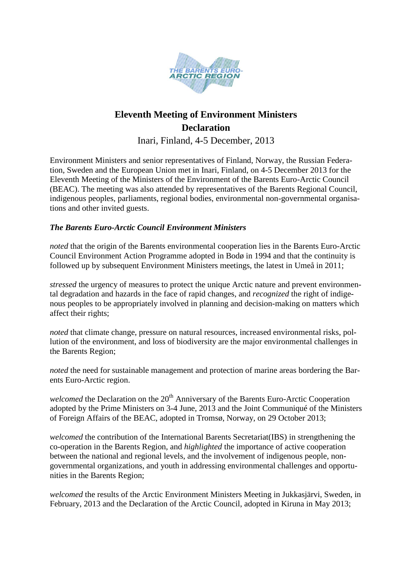

# **Eleventh Meeting of Environment Ministers Declaration**

Inari, Finland, 4-5 December, 2013

Environment Ministers and senior representatives of Finland, Norway, the Russian Federation, Sweden and the European Union met in Inari, Finland, on 4-5 December 2013 for the Eleventh Meeting of the Ministers of the Environment of the Barents Euro-Arctic Council (BEAC). The meeting was also attended by representatives of the Barents Regional Council, indigenous peoples, parliaments, regional bodies, environmental non-governmental organisations and other invited guests.

## *The Barents Euro-Arctic Council Environment Ministers*

*noted* that the origin of the Barents environmental cooperation lies in the Barents Euro-Arctic Council Environment Action Programme adopted in Bodø in 1994 and that the continuity is followed up by subsequent Environment Ministers meetings, the latest in Umeå in 2011;

*stressed* the urgency of measures to protect the unique Arctic nature and prevent environmental degradation and hazards in the face of rapid changes, and *recognized* the right of indigenous peoples to be appropriately involved in planning and decision-making on matters which affect their rights;

*noted* that climate change, pressure on natural resources, increased environmental risks, pollution of the environment, and loss of biodiversity are the major environmental challenges in the Barents Region;

*noted* the need for sustainable management and protection of marine areas bordering the Barents Euro-Arctic region.

*welcomed* the Declaration on the 20<sup>th</sup> Anniversary of the Barents Euro-Arctic Cooperation adopted by the Prime Ministers on 3-4 June, 2013 and the Joint Communiqué of the Ministers of Foreign Affairs of the BEAC, adopted in Tromsø, Norway, on 29 October 2013;

*welcomed* the contribution of the International Barents Secretariat(IBS) in strengthening the co-operation in the Barents Region, and *highlighted* the importance of active cooperation between the national and regional levels, and the involvement of indigenous people, nongovernmental organizations, and youth in addressing environmental challenges and opportunities in the Barents Region;

*welcomed* the results of the Arctic Environment Ministers Meeting in Jukkasjärvi, Sweden, in February, 2013 and the Declaration of the Arctic Council, adopted in Kiruna in May 2013;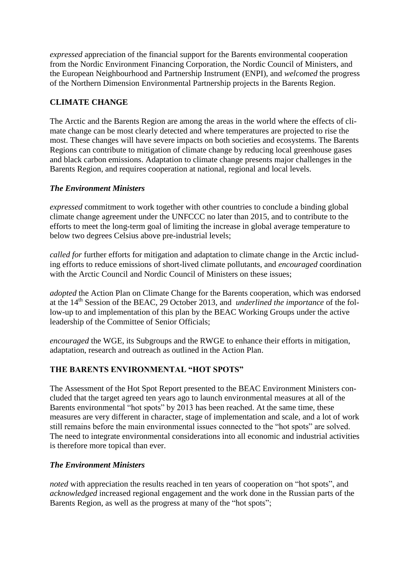*expressed* appreciation of the financial support for the Barents environmental cooperation from the Nordic Environment Financing Corporation, the Nordic Council of Ministers, and the European Neighbourhood and Partnership Instrument (ENPI), and *welcomed* the progress of the Northern Dimension Environmental Partnership projects in the Barents Region.

## **CLIMATE CHANGE**

The Arctic and the Barents Region are among the areas in the world where the effects of climate change can be most clearly detected and where temperatures are projected to rise the most. These changes will have severe impacts on both societies and ecosystems. The Barents Regions can contribute to mitigation of climate change by reducing local greenhouse gases and black carbon emissions. Adaptation to climate change presents major challenges in the Barents Region, and requires cooperation at national, regional and local levels.

#### *The Environment Ministers*

*expressed* commitment to work together with other countries to conclude a binding global climate change agreement under the UNFCCC no later than 2015, and to contribute to the efforts to meet the long-term goal of limiting the increase in global average temperature to below two degrees Celsius above pre-industrial levels;

*called for* further efforts for mitigation and adaptation to climate change in the Arctic including efforts to reduce emissions of short-lived climate pollutants, and *encouraged* coordination with the Arctic Council and Nordic Council of Ministers on these issues;

*adopted* the Action Plan on Climate Change for the Barents cooperation, which was endorsed at the 14th Session of the BEAC, 29 October 2013, and *underlined the importance* of the follow-up to and implementation of this plan by the BEAC Working Groups under the active leadership of the Committee of Senior Officials;

*encouraged* the WGE, its Subgroups and the RWGE to enhance their efforts in mitigation, adaptation, research and outreach as outlined in the Action Plan.

#### **THE BARENTS ENVIRONMENTAL "HOT SPOTS"**

The Assessment of the Hot Spot Report presented to the BEAC Environment Ministers concluded that the target agreed ten years ago to launch environmental measures at all of the Barents environmental "hot spots" by 2013 has been reached. At the same time, these measures are very different in character, stage of implementation and scale, and a lot of work still remains before the main environmental issues connected to the "hot spots" are solved. The need to integrate environmental considerations into all economic and industrial activities is therefore more topical than ever.

#### *The Environment Ministers*

*noted* with appreciation the results reached in ten years of cooperation on "hot spots", and *acknowledged* increased regional engagement and the work done in the Russian parts of the Barents Region, as well as the progress at many of the "hot spots";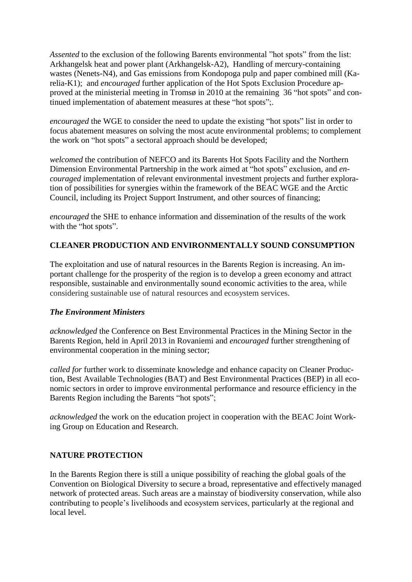*Assented* to the exclusion of the following Barents environmental "hot spots" from the list: Arkhangelsk heat and power plant (Arkhangelsk-A2), Handling of mercury-containing wastes (Nenets-N4), and Gas emissions from Kondopoga pulp and paper combined mill (Karelia-K1); and *encouraged* further application of the Hot Spots Exclusion Procedure approved at the ministerial meeting in Tromsø in 2010 at the remaining 36 "hot spots" and continued implementation of abatement measures at these "hot spots";.

*encouraged* the WGE to consider the need to update the existing "hot spots" list in order to focus abatement measures on solving the most acute environmental problems; to complement the work on "hot spots" a sectoral approach should be developed;

*welcomed* the contribution of NEFCO and its Barents Hot Spots Facility and the Northern Dimension Environmental Partnership in the work aimed at "hot spots" exclusion*,* and *encouraged* implementation of relevant environmental investment projects and further exploration of possibilities for synergies within the framework of the BEAC WGE and the Arctic Council, including its Project Support Instrument, and other sources of financing;

*encouraged* the SHE to enhance information and dissemination of the results of the work with the "hot spots".

## **CLEANER PRODUCTION AND ENVIRONMENTALLY SOUND CONSUMPTION**

The exploitation and use of natural resources in the Barents Region is increasing. An important challenge for the prosperity of the region is to develop a green economy and attract responsible, sustainable and environmentally sound economic activities to the area, while considering sustainable use of natural resources and ecosystem services.

#### *The Environment Ministers*

*acknowledged* the Conference on Best Environmental Practices in the Mining Sector in the Barents Region, held in April 2013 in Rovaniemi and *encouraged* further strengthening of environmental cooperation in the mining sector;

*called for further work to disseminate knowledge and enhance capacity on Cleaner Produc*tion, Best Available Technologies (BAT) and Best Environmental Practices (BEP) in all economic sectors in order to improve environmental performance and resource efficiency in the Barents Region including the Barents "hot spots";

*acknowledged* the work on the education project in cooperation with the BEAC Joint Working Group on Education and Research.

#### **NATURE PROTECTION**

In the Barents Region there is still a unique possibility of reaching the global goals of the Convention on Biological Diversity to secure a broad, representative and effectively managed network of protected areas. Such areas are a mainstay of biodiversity conservation, while also contributing to people's livelihoods and ecosystem services, particularly at the regional and local level.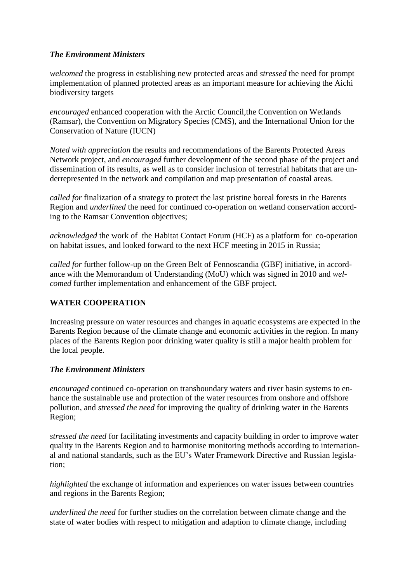#### *The Environment Ministers*

*welcomed* the progress in establishing new protected areas and *stressed* the need for prompt implementation of planned protected areas as an important measure for achieving the Aichi biodiversity targets

*encouraged* enhanced cooperation with the Arctic Council,the Convention on Wetlands (Ramsar), the Convention on Migratory Species (CMS), and the International Union for the Conservation of Nature (IUCN)

*Noted with appreciation* the results and recommendations of the Barents Protected Areas Network project, and *encouraged* further development of the second phase of the project and dissemination of its results, as well as to consider inclusion of terrestrial habitats that are underrepresented in the network and compilation and map presentation of coastal areas.

*called for* finalization of a strategy to protect the last pristine boreal forests in the Barents Region and *underlined* the need for continued co-operation on wetland conservation according to the Ramsar Convention objectives;

*acknowledged* the work of the Habitat Contact Forum (HCF) as a platform for co-operation on habitat issues, and looked forward to the next HCF meeting in 2015 in Russia;

*called for* further follow-up on the Green Belt of Fennoscandia (GBF) initiative, in accordance with the Memorandum of Understanding (MoU) which was signed in 2010 and *welcomed* further implementation and enhancement of the GBF project.

# **WATER COOPERATION**

Increasing pressure on water resources and changes in aquatic ecosystems are expected in the Barents Region because of the climate change and economic activities in the region. In many places of the Barents Region poor drinking water quality is still a major health problem for the local people.

#### *The Environment Ministers*

*encouraged* continued co-operation on transboundary waters and river basin systems to enhance the sustainable use and protection of the water resources from onshore and offshore pollution, and *stressed the need* for improving the quality of drinking water in the Barents Region;

*stressed the need* for facilitating investments and capacity building in order to improve water quality in the Barents Region and to harmonise monitoring methods according to international and national standards, such as the EU's Water Framework Directive and Russian legislation;

*highlighted* the exchange of information and experiences on water issues between countries and regions in the Barents Region;

*underlined the need* for further studies on the correlation between climate change and the state of water bodies with respect to mitigation and adaption to climate change, including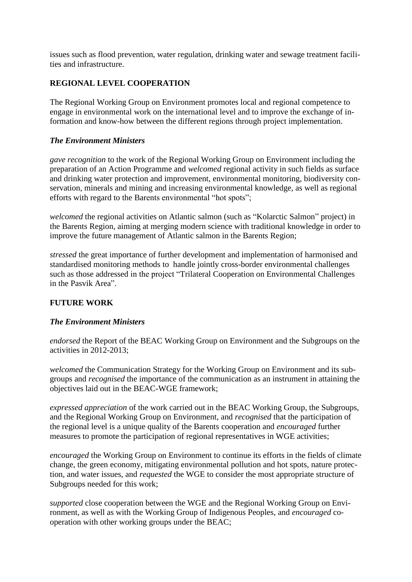issues such as flood prevention, water regulation, drinking water and sewage treatment facilities and infrastructure.

# **REGIONAL LEVEL COOPERATION**

The Regional Working Group on Environment promotes local and regional competence to engage in environmental work on the international level and to improve the exchange of information and know-how between the different regions through project implementation.

#### *The Environment Ministers*

*gave recognition* to the work of the Regional Working Group on Environment including the preparation of an Action Programme and *welcomed* regional activity in such fields as surface and drinking water protection and improvement, environmental monitoring, biodiversity conservation, minerals and mining and increasing environmental knowledge, as well as regional efforts with regard to the Barents environmental "hot spots";

*welcomed* the regional activities on Atlantic salmon (such as "Kolarctic Salmon" project) in the Barents Region, aiming at merging modern science with traditional knowledge in order to improve the future management of Atlantic salmon in the Barents Region;

*stressed* the great importance of further development and implementation of harmonised and standardised monitoring methods to handle jointly cross-border environmental challenges such as those addressed in the project "Trilateral Cooperation on Environmental Challenges in the Pasvik Area".

#### **FUTURE WORK**

#### *The Environment Ministers*

*endorsed* the Report of the BEAC Working Group on Environment and the Subgroups on the activities in 2012-2013;

*welcomed* the Communication Strategy for the Working Group on Environment and its subgroups and *recognised* the importance of the communication as an instrument in attaining the objectives laid out in the BEAC-WGE framework;

*expressed appreciation* of the work carried out in the BEAC Working Group, the Subgroups, and the Regional Working Group on Environment, and *recognised* that the participation of the regional level is a unique quality of the Barents cooperation and *encouraged* further measures to promote the participation of regional representatives in WGE activities;

*encouraged* the Working Group on Environment to continue its efforts in the fields of climate change, the green economy, mitigating environmental pollution and hot spots, nature protection, and water issues, and *requested* the WGE to consider the most appropriate structure of Subgroups needed for this work;

*supported* close cooperation between the WGE and the Regional Working Group on Environment, as well as with the Working Group of Indigenous Peoples, and *encouraged* cooperation with other working groups under the BEAC;